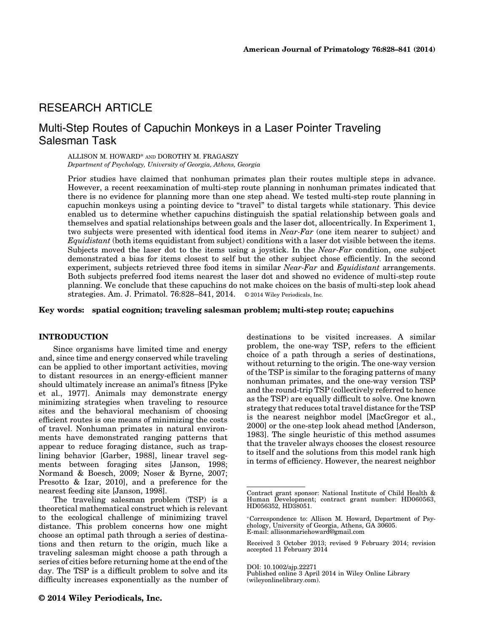# RESEARCH ARTICLE

# Multi-Step Routes of Capuchin Monkeys in a Laser Pointer Traveling<br>Salesman Task

SALES SALESMAN TASKER AND DOROTHY M. FRAGASZY Department of Psychology, University of Georgia, Athens, Georgia

> Prior studies have claimed that nonhuman primates plan their routes multiple steps in advance. However, a recent reexamination of multi‐step route planning in nonhuman primates indicated that there is no evidence for planning more than one step ahead. We tested multi‐step route planning in capuchin monkeys using a pointing device to "travel" to distal targets while stationary. This device enabled us to determine whether capuchins distinguish the spatial relationship between goals and themselves and spatial relationships between goals and the laser dot, allocentrically. In Experiment 1, two subjects were presented with identical food items in Near-Far (one item nearer to subject) and Equidistant (both items equidistant from subject) conditions with a laser dot visible between the items. Subjects moved the laser dot to the items using a joystick. In the *Near-Far* condition, one subject demonstrated a bias for items closest to self but the other subject chose efficiently. In the second experiment, subjects retrieved three food items in similar *Near-Far* and *Equidistant* arrangements. Both subjects preferred food items nearest the laser dot and showed no evidence of multi‐step route planning. We conclude that these capuchins do not make choices on the basis of multi‐step look ahead strategies. Am. J. Primatol. 76:828–841, 2014. © 2014 Wiley Periodicals, Inc.

#### Key words: spatial cognition; traveling salesman problem; multi-step route; capuchins

# INTRODUCTION

Since organisms have limited time and energy and, since time and energy conserved while traveling can be applied to other important activities, moving to distant resources in an energy‐efficient manner should ultimately increase an animal's fitness [Pyke et al., 1977]. Animals may demonstrate energy minimizing strategies when traveling to resource sites and the behavioral mechanism of choosing efficient routes is one means of minimizing the costs of travel. Nonhuman primates in natural environments have demonstrated ranging patterns that appear to reduce foraging distance, such as traplining behavior [Garber, 1988], linear travel segments between foraging sites [Janson, 1998; Normand & Boesch, 2009; Noser & Byrne, 2007; Presotto & Izar, 2010], and a preference for the nearest feeding site [Janson, 1998].

The traveling salesman problem (TSP) is a theoretical mathematical construct which is relevant to the ecological challenge of minimizing travel distance. This problem concerns how one might choose an optimal path through a series of destinations and then return to the origin, much like a traveling salesman might choose a path through a series of cities before returning home at the end of the day. The TSP is a difficult problem to solve and its difficulty increases exponentially as the number of destinations to be visited increases. A similar problem, the one‐way TSP, refers to the efficient choice of a path through a series of destinations, without returning to the origin. The one-way version of the TSP is similar to the foraging patterns of many nonhuman primates, and the one‐way version TSP and the round‐trip TSP (collectively referred to hence as the TSP) are equally difficult to solve. One known strategy that reduces total travel distance for the TSP is the nearest neighbor model [MacGregor et al., 2000] or the one‐step look ahead method [Anderson, 1983]. The single heuristic of this method assumes that the traveler always chooses the closest resource to itself and the solutions from this model rank high in terms of efficiency. However, the nearest neighbor

DOI: 10.1002/ajp.22271

Published online 3 April 2014 in Wiley Online Library (wileyonlinelibrary.com).

Contract grant sponsor: National Institute of Child Health & Human Development; contract grant number: HD060563, HD056352, HD38051.

Correspondence to: Allison M. Howard, Department of Psychology, University of Georgia, Athens, GA 30605. E‐mail: allisonmariehoward@gmail.com

Received 3 October 2013; revised 9 February 2014; revision accepted 11 February 2014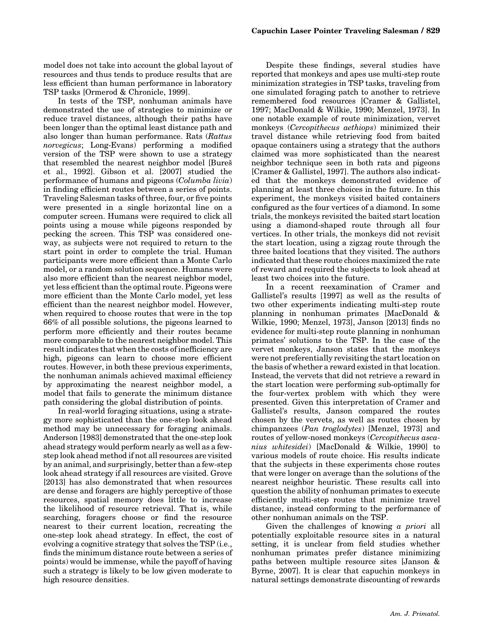model does not take into account the global layout of resources and thus tends to produce results that are less efficient than human performance in laboratory TSP tasks [Ormerod & Chronicle, 1999].

In tests of the TSP, nonhuman animals have demonstrated the use of strategies to minimize or reduce travel distances, although their paths have been longer than the optimal least distance path and also longer than human performance. Rats (Rattus norvegicus; Long‐Evans) performing a modified version of the TSP were shown to use a strategy that resembled the nearest neighbor model [Bureš et al., 1992]. Gibson et al. [2007] studied the performance of humans and pigeons (Columba livia) in finding efficient routes between a series of points. Traveling Salesman tasks of three, four, or five points were presented in a single horizontal line on a computer screen. Humans were required to click all points using a mouse while pigeons responded by pecking the screen. This TSP was considered one‐ way, as subjects were not required to return to the start point in order to complete the trial. Human participants were more efficient than a Monte Carlo model, or a random solution sequence. Humans were also more efficient than the nearest neighbor model, yet less efficient than the optimal route. Pigeons were more efficient than the Monte Carlo model, yet less efficient than the nearest neighbor model. However, when required to choose routes that were in the top 66% of all possible solutions, the pigeons learned to perform more efficiently and their routes became more comparable to the nearest neighbor model. This result indicates that when the costs of inefficiency are high, pigeons can learn to choose more efficient routes. However, in both these previous experiments, the nonhuman animals achieved maximal efficiency by approximating the nearest neighbor model, a model that fails to generate the minimum distance path considering the global distribution of points.

In real‐world foraging situations, using a strategy more sophisticated than the one‐step look ahead method may be unnecessary for foraging animals. Anderson [1983] demonstrated that the one‐step look ahead strategy would perform nearly as well as a few‐ step look ahead method if not all resources are visited by an animal, and surprisingly, better than a few‐step look ahead strategy if all resources are visited. Grove [2013] has also demonstrated that when resources are dense and foragers are highly perceptive of those resources, spatial memory does little to increase the likelihood of resource retrieval. That is, while searching, foragers choose or find the resource nearest to their current location, recreating the one‐step look ahead strategy. In effect, the cost of evolving a cognitive strategy that solves the TSP (i.e., finds the minimum distance route between a series of points) would be immense, while the payoff of having such a strategy is likely to be low given moderate to high resource densities.

Despite these findings, several studies have reported that monkeys and apes use multi‐step route minimization strategies in TSP tasks, traveling from one simulated foraging patch to another to retrieve remembered food resources [Cramer & Gallistel, 1997; MacDonald & Wilkie, 1990; Menzel, 1973]. In one notable example of route minimization, vervet monkeys (Cercopithecus aethiops) minimized their travel distance while retrieving food from baited opaque containers using a strategy that the authors claimed was more sophisticated than the nearest neighbor technique seen in both rats and pigeons [Cramer & Gallistel, 1997]. The authors also indicated that the monkeys demonstrated evidence of planning at least three choices in the future. In this experiment, the monkeys visited baited containers configured as the four vertices of a diamond. In some trials, the monkeys revisited the baited start location using a diamond‐shaped route through all four vertices. In other trials, the monkeys did not revisit the start location, using a zigzag route through the three baited locations that they visited. The authors indicated that these route choices maximized the rate of reward and required the subjects to look ahead at least two choices into the future.

In a recent reexamination of Cramer and Gallistel's results [1997] as well as the results of two other experiments indicating multi‐step route planning in nonhuman primates [MacDonald & Wilkie, 1990; Menzel, 1973], Janson [2013] finds no evidence for multi‐step route planning in nonhuman primates' solutions to the TSP. In the case of the vervet monkeys, Janson states that the monkeys were not preferentially revisiting the start location on the basis of whether a reward existed in that location. Instead, the vervets that did not retrieve a reward in the start location were performing sub‐optimally for the four‐vertex problem with which they were presented. Given this interpretation of Cramer and Gallistel's results, Janson compared the routes chosen by the vervets, as well as routes chosen by chimpanzees (Pan troglodytes) [Menzel, 1973] and routes of yellow‐nosed monkeys (Cercopithecus ascanius whitesidei) [MacDonald & Wilkie, 1990] to various models of route choice. His results indicate that the subjects in these experiments chose routes that were longer on average than the solutions of the nearest neighbor heuristic. These results call into question the ability of nonhuman primates to execute efficiently multi‐step routes that minimize travel distance, instead conforming to the performance of other nonhuman animals on the TSP.

Given the challenges of knowing *a priori* all potentially exploitable resource sites in a natural setting, it is unclear from field studies whether nonhuman primates prefer distance minimizing paths between multiple resource sites [Janson & Byrne, 2007]. It is clear that capuchin monkeys in natural settings demonstrate discounting of rewards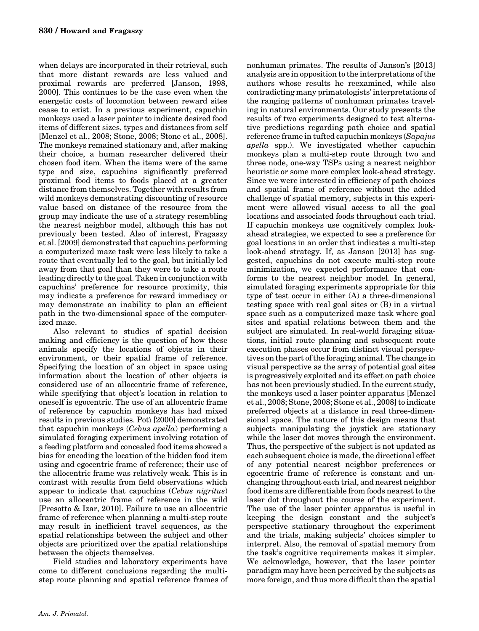when delays are incorporated in their retrieval, such that more distant rewards are less valued and proximal rewards are preferred [Janson, 1998, 2000]. This continues to be the case even when the energetic costs of locomotion between reward sites cease to exist. In a previous experiment, capuchin monkeys used a laser pointer to indicate desired food items of different sizes, types and distances from self [Menzel et al., 2008; Stone, 2008; Stone et al., 2008]. The monkeys remained stationary and, after making their choice, a human researcher delivered their chosen food item. When the items were of the same type and size, capuchins significantly preferred proximal food items to foods placed at a greater distance from themselves. Together with results from wild monkeys demonstrating discounting of resource value based on distance of the resource from the group may indicate the use of a strategy resembling the nearest neighbor model, although this has not previously been tested. Also of interest, Fragaszy et al. [2009] demonstrated that capuchins performing a computerized maze task were less likely to take a route that eventually led to the goal, but initially led away from that goal than they were to take a route leading directly to the goal. Taken in conjunction with capuchins' preference for resource proximity, this may indicate a preference for reward immediacy or may demonstrate an inability to plan an efficient path in the two-dimensional space of the computerized maze.

Also relevant to studies of spatial decision making and efficiency is the question of how these animals specify the locations of objects in their environment, or their spatial frame of reference. Specifying the location of an object in space using information about the location of other objects is considered use of an allocentric frame of reference, while specifying that object's location in relation to oneself is egocentric. The use of an allocentric frame of reference by capuchin monkeys has had mixed results in previous studies. Potì [2000] demonstrated that capuchin monkeys (Cebus apella) performing a simulated foraging experiment involving rotation of a feeding platform and concealed food items showed a bias for encoding the location of the hidden food item using and egocentric frame of reference; their use of the allocentric frame was relatively weak. This is in contrast with results from field observations which appear to indicate that capuchins (Cebus nigritus) use an allocentric frame of reference in the wild [Presotto & Izar, 2010]. Failure to use an allocentric frame of reference when planning a multi‐step route may result in inefficient travel sequences, as the spatial relationships between the subject and other objects are prioritized over the spatial relationships between the objects themselves.

Field studies and laboratory experiments have come to different conclusions regarding the multistep route planning and spatial reference frames of

analysis are in opposition to the interpretations of the authors whose results he reexamined, while also contradicting many primatologists' interpretations of the ranging patterns of nonhuman primates traveling in natural environments. Our study presents the results of two experiments designed to test alternative predictions regarding path choice and spatial reference frame in tufted capuchin monkeys (Sapajus apella spp.). We investigated whether capuchin monkeys plan a multi‐step route through two and three node, one‐way TSPs using a nearest neighbor heuristic or some more complex look‐ahead strategy. Since we were interested in efficiency of path choices and spatial frame of reference without the added challenge of spatial memory, subjects in this experiment were allowed visual access to all the goal locations and associated foods throughout each trial. If capuchin monkeys use cognitively complex look‐ ahead strategies, we expected to see a preference for goal locations in an order that indicates a multi‐step look‐ahead strategy. If, as Janson [2013] has suggested, capuchins do not execute multi‐step route minimization, we expected performance that conforms to the nearest neighbor model. In general, simulated foraging experiments appropriate for this type of test occur in either  $(A)$  a three-dimensional testing space with real goal sites or (B) in a virtual space such as a computerized maze task where goal sites and spatial relations between them and the subject are simulated. In real‐world foraging situations, initial route planning and subsequent route execution phases occur from distinct visual perspectives on the part of the foraging animal. The change in visual perspective as the array of potential goal sites is progressively exploited and its effect on path choice has not been previously studied. In the current study, the monkeys used a laser pointer apparatus [Menzel et al., 2008; Stone, 2008; Stone et al., 2008] to indicate preferred objects at a distance in real three‐dimensional space. The nature of this design means that subjects manipulating the joystick are stationary while the laser dot moves through the environment. Thus, the perspective of the subject is not updated as each subsequent choice is made, the directional effect of any potential nearest neighbor preferences or egocentric frame of reference is constant and unchanging throughout each trial, and nearest neighbor food items are differentiable from foods nearest to the laser dot throughout the course of the experiment. The use of the laser pointer apparatus is useful in keeping the design constant and the subject's perspective stationary throughout the experiment and the trials, making subjects' choices simpler to interpret. Also, the removal of spatial memory from the task's cognitive requirements makes it simpler. We acknowledge, however, that the laser pointer paradigm may have been perceived by the subjects as more foreign, and thus more difficult than the spatial

nonhuman primates. The results of Janson's [2013]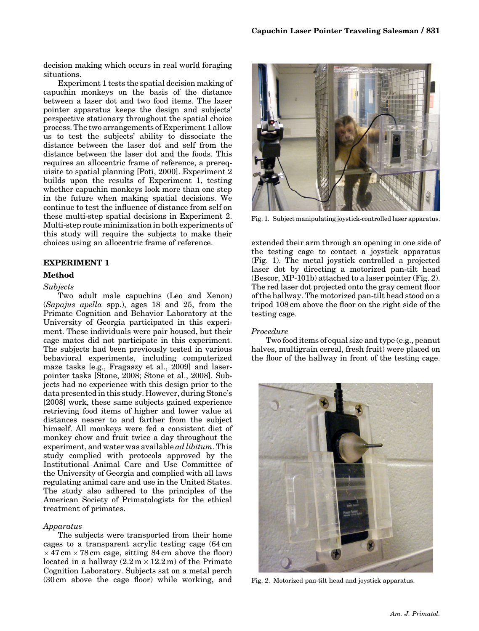decision making which occurs in real world foraging situations.

Experiment 1 tests the spatial decision making of capuchin monkeys on the basis of the distance between a laser dot and two food items. The laser pointer apparatus keeps the design and subjects' perspective stationary throughout the spatial choice process. The two arrangements of Experiment 1 allow us to test the subjects' ability to dissociate the distance between the laser dot and self from the distance between the laser dot and the foods. This requires an allocentric frame of reference, a prerequisite to spatial planning [Potì, 2000]. Experiment 2 builds upon the results of Experiment 1, testing whether capuchin monkeys look more than one step in the future when making spatial decisions. We continue to test the influence of distance from self on these multi‐step spatial decisions in Experiment 2. Multi‐step route minimization in both experiments of this study will require the subjects to make their choices using an allocentric frame of reference.

# EXPERIMENT 1

# Method

# Subjects

Two adult male capuchins (Leo and Xenon) (Sapajus apella spp.), ages 18 and 25, from the Primate Cognition and Behavior Laboratory at the University of Georgia participated in this experiment. These individuals were pair housed, but their cage mates did not participate in this experiment. The subjects had been previously tested in various behavioral experiments, including computerized maze tasks [e.g., Fragaszy et al., 2009] and laser‐ pointer tasks [Stone, 2008; Stone et al., 2008]. Subjects had no experience with this design prior to the data presented in this study. However, during Stone's [2008] work, these same subjects gained experience retrieving food items of higher and lower value at distances nearer to and farther from the subject himself. All monkeys were fed a consistent diet of monkey chow and fruit twice a day throughout the experiment, and water was available ad libitum. This study complied with protocols approved by the Institutional Animal Care and Use Committee of the University of Georgia and complied with all laws regulating animal care and use in the United States. The study also adhered to the principles of the American Society of Primatologists for the ethical treatment of primates.

# Apparatus

The subjects were transported from their home cages to a transparent acrylic testing cage (64 cm  $\times$  47 cm  $\times$  78 cm cage, sitting 84 cm above the floor) located in a hallway  $(2.2 \text{ m} \times 12.2 \text{ m})$  of the Primate Cognition Laboratory. Subjects sat on a metal perch (30 cm above the cage floor) while working, and



Fig. 1. Subject manipulating joystick‐controlled laser apparatus.

extended their arm through an opening in one side of the testing cage to contact a joystick apparatus (Fig. 1). The metal joystick controlled a projected laser dot by directing a motorized pan‐tilt head (Bescor, MP‐101b) attached to a laser pointer (Fig. 2). The red laser dot projected onto the gray cement floor of the hallway. The motorized pan‐tilt head stood on a tripod 108 cm above the floor on the right side of the testing cage.

# Procedure

Two food items of equal size and type (e.g., peanut halves, multigrain cereal, fresh fruit) were placed on the floor of the hallway in front of the testing cage.



Fig. 2. Motorized pan‐tilt head and joystick apparatus.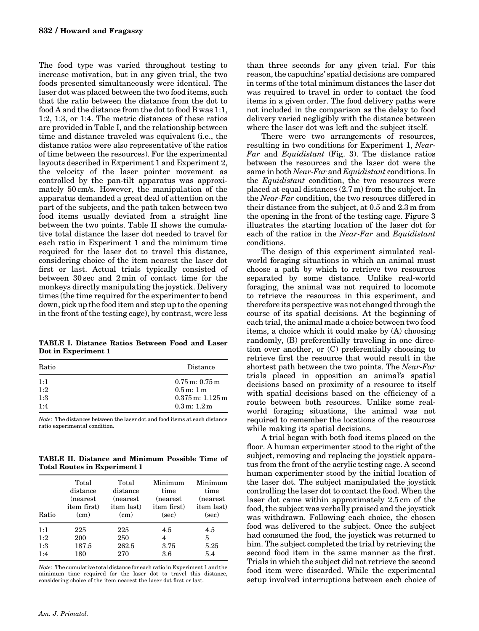The food type was varied throughout testing to increase motivation, but in any given trial, the two foods presented simultaneously were identical. The laser dot was placed between the two food items, such that the ratio between the distance from the dot to food A and the distance from the dot to food B was 1:1, 1:2, 1:3, or 1:4. The metric distances of these ratios are provided in Table I, and the relationship between time and distance traveled was equivalent (i.e., the distance ratios were also representative of the ratios of time between the resources). For the experimental layouts described in Experiment 1 and Experiment 2, the velocity of the laser pointer movement as controlled by the pan‐tilt apparatus was approximately 50 cm/s. However, the manipulation of the apparatus demanded a great deal of attention on the part of the subjects, and the path taken between two food items usually deviated from a straight line between the two points. Table II shows the cumulative total distance the laser dot needed to travel for each ratio in Experiment 1 and the minimum time required for the laser dot to travel this distance, considering choice of the item nearest the laser dot first or last. Actual trials typically consisted of between 30 sec and 2 min of contact time for the monkeys directly manipulating the joystick. Delivery times (the time required for the experimenter to bend down, pick up the food item and step up to the opening in the front of the testing cage), by contrast, were less

TABLE I. Distance Ratios Between Food and Laser Dot in Experiment 1

| Ratio | Distance                                  |
|-------|-------------------------------------------|
| 1:1   | $0.75 \,\mathrm{m}$ : $0.75 \,\mathrm{m}$ |
| 1:2   | $0.5 \,\mathrm{m}$ : 1 m                  |
| 1:3   | $0.375$ m: $1.125$ m                      |
| 1:4   | $0.3 \,\mathrm{m}$ : $1.2 \,\mathrm{m}$   |

Note: The distances between the laser dot and food items at each distance ratio experimental condition.

TABLE II. Distance and Minimum Possible Time of Total Routes in Experiment 1

| Ratio | Total<br>distance<br>(nearest)<br>item first)<br>(c <sub>m</sub> ) | Total<br>distance<br>(nearest)<br>item last)<br>(c <sub>m</sub> ) | Minimum<br>time<br>(nearest)<br>item first)<br>(sec) | Minimum<br>time<br>(nearest)<br>item last)<br>(sec) |
|-------|--------------------------------------------------------------------|-------------------------------------------------------------------|------------------------------------------------------|-----------------------------------------------------|
| 1:1   | 225                                                                | 225                                                               | 4.5                                                  | 4.5                                                 |
| 1:2   | 200                                                                | 250                                                               | 4                                                    | 5                                                   |
| 1:3   | 187.5                                                              | 262.5                                                             | 3.75                                                 | 5.25                                                |
| 1:4   | 180                                                                | 270                                                               | 3.6                                                  | 5.4                                                 |

Note: The cumulative total distance for each ratio in Experiment 1 and the minimum time required for the laser dot to travel this distance, considering choice of the item nearest the laser dot first or last.

than three seconds for any given trial. For this reason, the capuchins' spatial decisions are compared in terms of the total minimum distances the laser dot was required to travel in order to contact the food items in a given order. The food delivery paths were not included in the comparison as the delay to food delivery varied negligibly with the distance between where the laser dot was left and the subject itself.

There were two arrangements of resources, resulting in two conditions for Experiment 1, Near-Far and Equidistant (Fig. 3). The distance ratios between the resources and the laser dot were the same in both Near-Far and Equidistant conditions. In the Equidistant condition, the two resources were placed at equal distances (2.7 m) from the subject. In the Near-Far condition, the two resources differed in their distance from the subject, at 0.5 and 2.3 m from the opening in the front of the testing cage. Figure 3 illustrates the starting location of the laser dot for each of the ratios in the Near-Far and Equidistant conditions.

The design of this experiment simulated real‐ world foraging situations in which an animal must choose a path by which to retrieve two resources separated by some distance. Unlike real‐world foraging, the animal was not required to locomote to retrieve the resources in this experiment, and therefore its perspective was not changed through the course of its spatial decisions. At the beginning of each trial, the animal made a choice between two food items, a choice which it could make by (A) choosing randomly, (B) preferentially traveling in one direction over another, or (C) preferentially choosing to retrieve first the resource that would result in the shortest path between the two points. The Near‐Far trials placed in opposition an animal's spatial decisions based on proximity of a resource to itself with spatial decisions based on the efficiency of a route between both resources. Unlike some real‐ world foraging situations, the animal was not required to remember the locations of the resources while making its spatial decisions.

A trial began with both food items placed on the floor. A human experimenter stood to the right of the subject, removing and replacing the joystick apparatus from the front of the acrylic testing cage. A second human experimenter stood by the initial location of the laser dot. The subject manipulated the joystick controlling the laser dot to contact the food. When the laser dot came within approximately 2.5 cm of the food, the subject was verbally praised and the joystick was withdrawn. Following each choice, the chosen food was delivered to the subject. Once the subject had consumed the food, the joystick was returned to him. The subject completed the trial by retrieving the second food item in the same manner as the first. Trials in which the subject did not retrieve the second food item were discarded. While the experimental setup involved interruptions between each choice of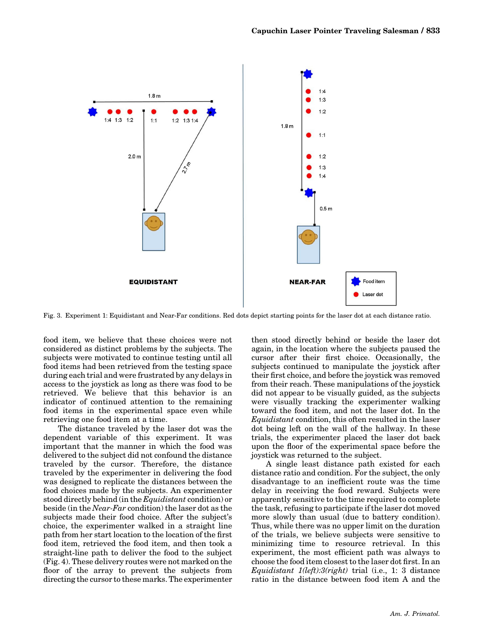

Fig. 3. Experiment 1: Equidistant and Near-Far conditions. Red dots depict starting points for the laser dot at each distance ratio.

food item, we believe that these choices were not considered as distinct problems by the subjects. The subjects were motivated to continue testing until all food items had been retrieved from the testing space during each trial and were frustrated by any delays in access to the joystick as long as there was food to be retrieved. We believe that this behavior is an indicator of continued attention to the remaining food items in the experimental space even while retrieving one food item at a time.

The distance traveled by the laser dot was the dependent variable of this experiment. It was important that the manner in which the food was delivered to the subject did not confound the distance traveled by the cursor. Therefore, the distance traveled by the experimenter in delivering the food was designed to replicate the distances between the food choices made by the subjects. An experimenter stood directly behind (in the Equidistant condition) or beside (in the Near‐Far condition) the laser dot as the subjects made their food choice. After the subject's choice, the experimenter walked in a straight line path from her start location to the location of the first food item, retrieved the food item, and then took a straight‐line path to deliver the food to the subject (Fig. 4). These delivery routes were not marked on the floor of the array to prevent the subjects from directing the cursor to these marks. The experimenter

then stood directly behind or beside the laser dot again, in the location where the subjects paused the cursor after their first choice. Occasionally, the subjects continued to manipulate the joystick after their first choice, and before the joystick was removed from their reach. These manipulations of the joystick did not appear to be visually guided, as the subjects were visually tracking the experimenter walking toward the food item, and not the laser dot. In the Equidistant condition, this often resulted in the laser dot being left on the wall of the hallway. In these trials, the experimenter placed the laser dot back upon the floor of the experimental space before the joystick was returned to the subject.

A single least distance path existed for each distance ratio and condition. For the subject, the only disadvantage to an inefficient route was the time delay in receiving the food reward. Subjects were apparently sensitive to the time required to complete the task, refusing to participate if the laser dot moved more slowly than usual (due to battery condition). Thus, while there was no upper limit on the duration of the trials, we believe subjects were sensitive to minimizing time to resource retrieval. In this experiment, the most efficient path was always to choose the food item closest to the laser dot first. In an Equidistant 1(left):3(right) trial (i.e., 1: 3 distance ratio in the distance between food item A and the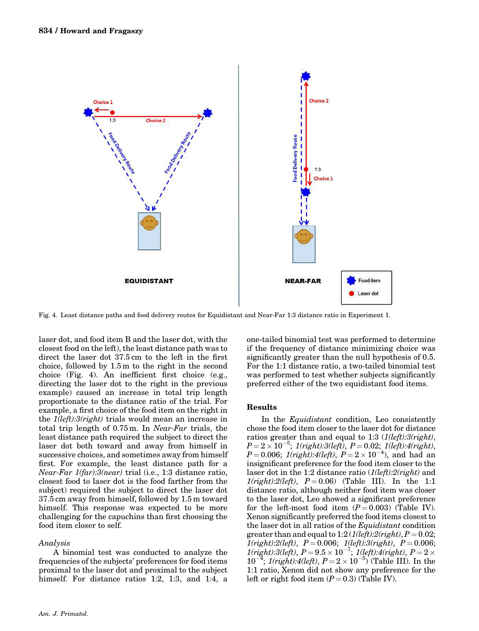

Fig. 4. Least distance paths and food delivery routes for Equidistant and Near-Far 1:3 distance ratio in Experiment 1.

laser dot, and food item B and the laser dot, with the closest food on the left), the least distance path was to direct the laser dot 37.5 cm to the left in the first choice, followed by 1.5 m to the right in the second choice (Fig. 4). An inefficient first choice (e.g., directing the laser dot to the right in the previous example) caused an increase in total trip length proportionate to the distance ratio of the trial. For example, a first choice of the food item on the right in the 1(left):3(right) trials would mean an increase in total trip length of 0.75 m. In Near‐Far trials, the least distance path required the subject to direct the laser dot both toward and away from himself in successive choices, and sometimes away from himself first. For example, the least distance path for a Near‐Far 1(far):3(near) trial (i.e., 1:3 distance ratio, closest food to laser dot is the food farther from the subject) required the subject to direct the laser dot 37.5 cm away from himself, followed by 1.5 m toward himself. This response was expected to be more challenging for the capuchins than first choosing the food item closer to self.

# Analysis

A binomial test was conducted to analyze the frequencies of the subjects' preferences for food items proximal to the laser dot and proximal to the subject himself. For distance ratios 1:2, 1:3, and 1:4, a

one‐tailed binomial test was performed to determine if the frequency of distance minimizing choice was significantly greater than the null hypothesis of 0.5. For the 1:1 distance ratio, a two-tailed binomial test was performed to test whether subjects significantly preferred either of the two equidistant food items.

# Results

In the *Equidistant* condition, Leo consistently chose the food item closer to the laser dot for distance ratios greater than and equal to 1:3  $(1(\text{left}):3(\text{right}),$  $P = 2 \times 10^{-5}$ ; 1(right):3(left),  $P = 0.02$ ; 1(left):4(right),  $P = 0.006; I(right).4(left), P = 2 \times 10^{-4})$ , and had an insignificant preference for the food item closer to the laser dot in the 1:2 distance ratio  $(1(\text{left}):2(\text{right})$  and  $1(right):2(left), P=0.06)$  (Table III). In the 1:1 distance ratio, although neither food item was closer to the laser dot, Leo showed a significant preference for the left-most food item  $(P = 0.003)$  (Table IV). Xenon significantly preferred the food items closest to the laser dot in all ratios of the Equidistant condition greater than and equal to  $1:2$  (1(left):2(right),  $P = 0.02$ ;  $1(right):2(left), P = 0.006; 1(left):3(right), P = 0.006;$  $1(right):3(lef), P = 9.5 \times 10^{-7}; 1(lef);4(right), P = 2 \times$  $10^{-4}$ ; 1(right):4(left),  $P = 2 \times 10^{-5}$ ) (Table III). In the 1:1 ratio, Xenon did not show any preference for the left or right food item  $(P = 0.3)$  (Table IV).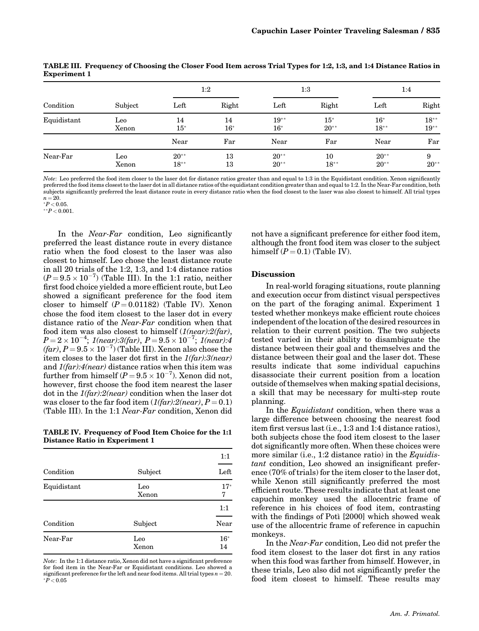|             |              | 1:2               |             | 1:3              |                  | 1:4              |                   |
|-------------|--------------|-------------------|-------------|------------------|------------------|------------------|-------------------|
| Condition   | Subject      | Left              | Right       | Left             | Right            | Left             | Right             |
| Equidistant | Leo<br>Xenon | 14<br>$15^*$      | 14<br>$16*$ | $19**$<br>$16*$  | $15^*$<br>$20**$ | $16*$<br>$18***$ | $18**$<br>$19***$ |
|             |              | Near              | Far         | Near             | Far              | Near             | Far               |
| Near-Far    | Leo<br>Xenon | $20**$<br>$18***$ | 13<br>13    | $20**$<br>$20**$ | 10<br>$18***$    | $20**$<br>$20**$ | 9<br>$20**$       |

TABLE III. Frequency of Choosing the Closer Food Item across Trial Types for 1:2, 1:3, and 1:4 Distance Ratios in Experiment 1

Note: Leo preferred the food item closer to the laser dot for distance ratios greater than and equal to 1:3 in the Equidistant condition. Xenon significantly preferred the food items closest to the laser dot in all distance ratios of the equidistant condition greater than and equal to 1:2. In the Near-Far condition, both subjects significantly preferred the least distance route in every distance ratio when the food closest to the laser was also closest to himself. All trial types  $n = 20$ .

 $n = 20. \ *P < 0.05. \ *P < 0.001.$ 

In the *Near-Far* condition, Leo significantly preferred the least distance route in every distance ratio when the food closest to the laser was also closest to himself. Leo chose the least distance route in all 20 trials of the 1:2, 1:3, and 1:4 distance ratios  $(P=9.5\times10^{-7})$  (Table III). In the 1:1 ratio, neither first food choice yielded a more efficient route, but Leo showed a significant preference for the food item closer to himself  $(P = 0.01182)$  (Table IV). Xenon chose the food item closest to the laser dot in every distance ratio of the Near‐Far condition when that food item was also closest to himself  $(1(near):2(far))$ ,  $P = 2 \times 10^{-4}$ ; 1(near):3(far),  $P = 9.5 \times 10^{-7}$ ; 1(near):4  $(far)$ ,  $P = 9.5 \times 10^{-7}$ ) (Table III). Xenon also chose the item closes to the laser dot first in the  $1(far):3(near)$ and  $1(far):4(near)$  distance ratios when this item was further from himself ( $P = 9.5 \times 10^{-7}$ ). Xenon did not, however, first choose the food item nearest the laser dot in the 1(far):2(near) condition when the laser dot was closer to the far food item  $(1(far):2(near), P = 0.1)$ (Table III). In the 1:1 Near‐Far condition, Xenon did

TABLE IV. Frequency of Food Item Choice for the 1:1 Distance Ratio in Experiment 1

|             |              | 1:1         |  |
|-------------|--------------|-------------|--|
| Condition   | Subject      | Left        |  |
| Equidistant | Leo<br>Xenon | $17*$<br>7  |  |
|             |              | 1:1         |  |
| Condition   | Subject      | Near        |  |
| Near-Far    | Leo<br>Xenon | $16*$<br>14 |  |

Note: In the 1:1 distance ratio, Xenon did not have a significant preference for food item in the Near‐Far or Equidistant conditions. Leo showed a significant preference for the left and near food items. All trial types  $n = 20$ .<br>  $\mathbb{P} < 0.05$  not have a significant preference for either food item, although the front food item was closer to the subject himself  $(P = 0.1)$  (Table IV).

#### **Discussion**

In real‐world foraging situations, route planning and execution occur from distinct visual perspectives on the part of the foraging animal. Experiment 1 tested whether monkeys make efficient route choices independent of the location of the desired resources in relation to their current position. The two subjects tested varied in their ability to disambiguate the distance between their goal and themselves and the distance between their goal and the laser dot. These results indicate that some individual capuchins disassociate their current position from a location outside of themselves when making spatial decisions, a skill that may be necessary for multi‐step route planning.

In the *Equidistant* condition, when there was a large difference between choosing the nearest food item first versus last (i.e., 1:3 and 1:4 distance ratios), both subjects chose the food item closest to the laser dot significantly more often. When these choices were more similar (i.e., 1:2 distance ratio) in the *Equidis*tant condition, Leo showed an insignificant preference (70% of trials) for the item closer to the laser dot, while Xenon still significantly preferred the most efficient route. These results indicate that at least one capuchin monkey used the allocentric frame of reference in his choices of food item, contrasting with the findings of Potì [2000] which showed weak use of the allocentric frame of reference in capuchin monkeys.

In the Near-Far condition, Leo did not prefer the food item closest to the laser dot first in any ratios when this food was farther from himself. However, in these trials, Leo also did not significantly prefer the food item closest to himself. These results may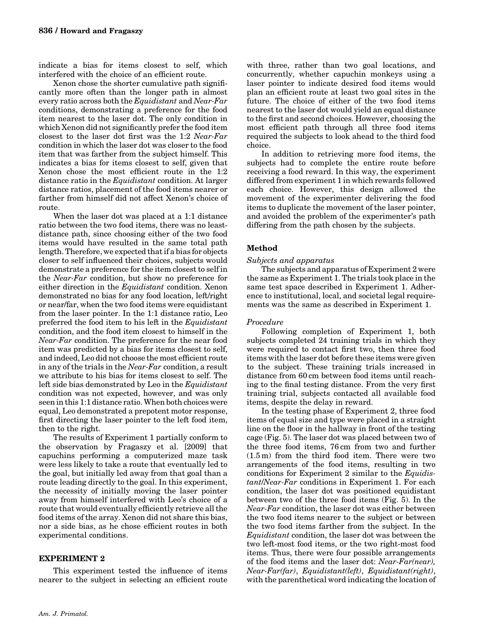indicate a bias for items closest to self, which interfered with the choice of an efficient route.

Xenon chose the shorter cumulative path significantly more often than the longer path in almost every ratio across both the Equidistant and Near‐Far conditions, demonstrating a preference for the food item nearest to the laser dot. The only condition in which Xenon did not significantly prefer the food item closest to the laser dot first was the 1:2 Near‐Far condition in which the laser dot was closer to the food item that was farther from the subject himself. This indicates a bias for items closest to self, given that Xenon chose the most efficient route in the 1:2 distance ratio in the Equidistant condition. At larger distance ratios, placement of the food items nearer or farther from himself did not affect Xenon's choice of route.

When the laser dot was placed at a 1:1 distance ratio between the two food items, there was no leastdistance path, since choosing either of the two food items would have resulted in the same total path length. Therefore, we expected that if a bias for objects closer to self influenced their choices, subjects would demonstrate a preference for the item closest to self in the Near‐Far condition, but show no preference for either direction in the Equidistant condition. Xenon demonstrated no bias for any food location, left/right or near/far, when the two food items were equidistant from the laser pointer. In the 1:1 distance ratio, Leo preferred the food item to his left in the Equidistant condition, and the food item closest to himself in the Near‐Far condition. The preference for the near food item was predicted by a bias for items closest to self, and indeed, Leo did not choose the most efficient route in any of the trials in the Near-Far condition, a result we attribute to his bias for items closest to self. The left side bias demonstrated by Leo in the Equidistant condition was not expected, however, and was only seen in this 1:1 distance ratio. When both choices were equal, Leo demonstrated a prepotent motor response, first directing the laser pointer to the left food item, then to the right.

The results of Experiment 1 partially conform to the observation by Fragaszy et al. [2009] that capuchins performing a computerized maze task were less likely to take a route that eventually led to the goal, but initially led away from that goal than a route leading directly to the goal. In this experiment, the necessity of initially moving the laser pointer away from himself interfered with Leo's choice of a route that would eventually efficiently retrieve all the food items of the array. Xenon did not share this bias, nor a side bias, as he chose efficient routes in both experimental conditions.

# EXPERIMENT 2

This experiment tested the influence of items nearer to the subject in selecting an efficient route with three, rather than two goal locations, and concurrently, whether capuchin monkeys using a laser pointer to indicate desired food items would plan an efficient route at least two goal sites in the future. The choice of either of the two food items nearest to the laser dot would yield an equal distance to the first and second choices. However, choosing the most efficient path through all three food items required the subjects to look ahead to the third food choice.

In addition to retrieving more food items, the subjects had to complete the entire route before receiving a food reward. In this way, the experiment differed from experiment 1 in which rewards followed each choice. However, this design allowed the movement of the experimenter delivering the food items to duplicate the movement of the laser pointer, and avoided the problem of the experimenter's path differing from the path chosen by the subjects.

# Method

# Subjects and apparatus

The subjects and apparatus of Experiment 2 were the same as Experiment 1. The trials took place in the same test space described in Experiment 1. Adherence to institutional, local, and societal legal requirements was the same as described in Experiment 1.

# Procedure

Following completion of Experiment 1, both subjects completed 24 training trials in which they were required to contact first two, then three food items with the laser dot before these items were given to the subject. These training trials increased in distance from 60 cm between food items until reaching to the final testing distance. From the very first training trial, subjects contacted all available food items, despite the delay in reward.

In the testing phase of Experiment 2, three food items of equal size and type were placed in a straight line on the floor in the hallway in front of the testing cage (Fig. 5). The laser dot was placed between two of the three food items, 76 cm from two and further (1.5 m) from the third food item. There were two arrangements of the food items, resulting in two conditions for Experiment 2 similar to the Equidistant/Near-Far conditions in Experiment 1. For each condition, the laser dot was positioned equidistant between two of the three food items (Fig. 5). In the Near-Far condition, the laser dot was either between the two food items nearer to the subject or between the two food items farther from the subject. In the Equidistant condition, the laser dot was between the two left‐most food items, or the two right‐most food items. Thus, there were four possible arrangements of the food items and the laser dot: Near‐Far(near), Near‐Far(far), Equidistant(left), Equidistant(right), with the parenthetical word indicating the location of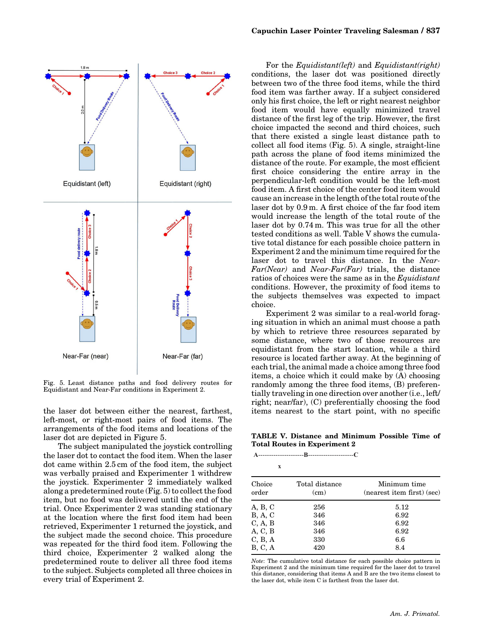

Fig. 5. Least distance paths and food delivery routes for Equidistant and Near‐Far conditions in Experiment 2.

the laser dot between either the nearest, farthest, left‐most, or right‐most pairs of food items. The arrangements of the food items and locations of the laser dot are depicted in Figure 5.

The subject manipulated the joystick controlling the laser dot to contact the food item. When the laser dot came within 2.5 cm of the food item, the subject was verbally praised and Experimenter 1 withdrew the joystick. Experimenter 2 immediately walked along a predetermined route (Fig. 5) to collect the food item, but no food was delivered until the end of the trial. Once Experimenter 2 was standing stationary at the location where the first food item had been retrieved, Experimenter 1 returned the joystick, and the subject made the second choice. This procedure was repeated for the third food item. Following the third choice, Experimenter 2 walked along the predetermined route to deliver all three food items to the subject. Subjects completed all three choices in every trial of Experiment 2.

For the Equidistant(left) and Equidistant(right) conditions, the laser dot was positioned directly between two of the three food items, while the third food item was farther away. If a subject considered only his first choice, the left or right nearest neighbor food item would have equally minimized travel distance of the first leg of the trip. However, the first choice impacted the second and third choices, such that there existed a single least distance path to collect all food items (Fig. 5). A single, straight‐line path across the plane of food items minimized the distance of the route. For example, the most efficient first choice considering the entire array in the perpendicular‐left condition would be the left‐most food item. A first choice of the center food item would cause an increase in the length of the total route of the laser dot by 0.9 m. A first choice of the far food item would increase the length of the total route of the laser dot by 0.74 m. This was true for all the other tested conditions as well. Table V shows the cumulative total distance for each possible choice pattern in Experiment 2 and the minimum time required for the laser dot to travel this distance. In the Near- $Far(Near)$  and  $Near-Far(Far)$  trials, the distance ratios of choices were the same as in the Equidistant conditions. However, the proximity of food items to the subjects themselves was expected to impact choice.

Experiment 2 was similar to a real-world foraging situation in which an animal must choose a path by which to retrieve three resources separated by some distance, where two of those resources are equidistant from the start location, while a third resource is located farther away. At the beginning of each trial, the animal made a choice among three food items, a choice which it could make by (A) choosing randomly among the three food items, (B) preferentially traveling in one direction over another (i.e., left/ right; near/far), (C) preferentially choosing the food items nearest to the start point, with no specific

TABLE V. Distance and Minimum Possible Time of Total Routes in Experiment 2

**A**---------------------**B**---------------------**C**

**x** 

| Choice<br>order                | Total distance<br>(cm) | Minimum time<br>(nearest item first) (sec) |
|--------------------------------|------------------------|--------------------------------------------|
| A, B, C                        | 256                    | 5.12                                       |
| <b>B</b> , <b>A</b> , <b>C</b> | 346                    | 6.92                                       |
| C, A, B                        | 346                    | 6.92                                       |
| A, C, B                        | 346                    | 6.92                                       |
| C, B, A                        | 330                    | 6.6                                        |
| B, C, A                        | 420                    | 8.4                                        |

Note: The cumulative total distance for each possible choice pattern in Experiment 2 and the minimum time required for the laser dot to travel this distance, considering that items A and B are the two items closest to the laser dot, while item C is farthest from the laser dot.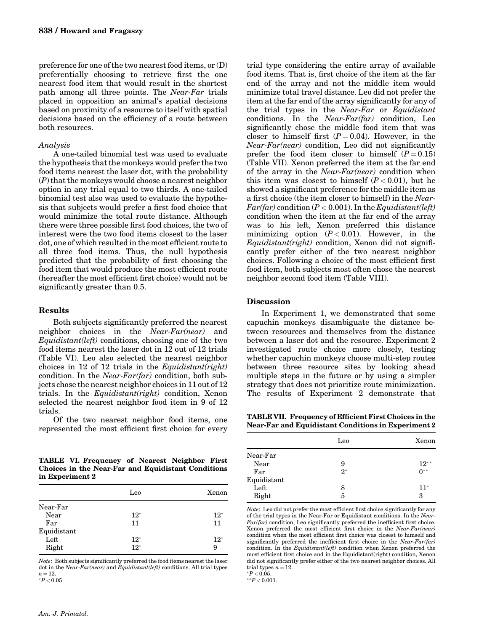preference for one of the two nearest food items, or (D) preferentially choosing to retrieve first the one nearest food item that would result in the shortest path among all three points. The *Near-Far* trials placed in opposition an animal's spatial decisions based on proximity of a resource to itself with spatial decisions based on the efficiency of a route between both resources.

# Analysis

A one‐tailed binomial test was used to evaluate the hypothesis that the monkeys would prefer the two food items nearest the laser dot, with the probability  $(P)$  that the monkeys would choose a nearest neighbor option in any trial equal to two thirds. A one‐tailed binomial test also was used to evaluate the hypothesis that subjects would prefer a first food choice that would minimize the total route distance. Although there were three possible first food choices, the two of interest were the two food items closest to the laser dot, one of which resulted in the most efficient route to all three food items. Thus, the null hypothesis predicted that the probability of first choosing the food item that would produce the most efficient route (hereafter the most efficient first choice) would not be significantly greater than 0.5.

# Results

Both subjects significantly preferred the nearest neighbor choices in the Near-Far(near) and Equidistant(left) conditions, choosing one of the two food items nearest the laser dot in 12 out of 12 trials (Table VI). Leo also selected the nearest neighbor choices in 12 of 12 trials in the  $Equidistant (right)$ condition. In the *Near-Far(far)* condition, both subjects chose the nearest neighbor choices in 11 out of 12 trials. In the Equidistant(right) condition, Xenon selected the nearest neighbor food item in 9 of 12 trials.

Of the two nearest neighbor food items, one represented the most efficient first choice for every

TABLE VI. Frequency of Nearest Neighbor First Choices in the Near‐Far and Equidistant Conditions in Experiment 2

|             | Leo   | Xenon  |
|-------------|-------|--------|
| Near-Far    |       |        |
| Near        | $12*$ | $12^*$ |
| Far         | 11    | 11     |
| Equidistant |       |        |
| Left        | $12*$ | $12*$  |
| Right       | $12*$ | 9      |

Note: Both subjects significantly preferred the food items nearest the laser dot in the *Near-Far(near)* and  $\overline{Equidistant(left)}$  conditions. All trial types  $n = 12$ .  $*P < 0.05$ .

trial type considering the entire array of available food items. That is, first choice of the item at the far end of the array and not the middle item would minimize total travel distance. Leo did not prefer the item at the far end of the array significantly for any of the trial types in the Near-Far or Equidistant conditions. In the  $Near-Far(far)$  condition, Leo significantly chose the middle food item that was closer to himself first  $(P = 0.04)$ . However, in the Near-Far(near) condition, Leo did not significantly prefer the food item closer to himself  $(P=0.15)$ (Table VII). Xenon preferred the item at the far end of the array in the Near-Far(near) condition when this item was closest to himself  $(P<0.01)$ , but he showed a significant preference for the middle item as a first choice (the item closer to himself) in the Near‐  $Far(far)$  condition ( $P < 0.001$ ). In the *Equidistant*(left) condition when the item at the far end of the array was to his left, Xenon preferred this distance minimizing option  $(P < 0.01)$ . However, in the Equidistant(right) condition, Xenon did not significantly prefer either of the two nearest neighbor choices. Following a choice of the most efficient first food item, both subjects most often chose the nearest neighbor second food item (Table VIII).

# **Discussion**

In Experiment 1, we demonstrated that some capuchin monkeys disambiguate the distance between resources and themselves from the distance between a laser dot and the resource. Experiment 2 investigated route choice more closely, testing whether capuchin monkeys choose multi‐step routes between three resource sites by looking ahead multiple steps in the future or by using a simpler strategy that does not prioritize route minimization. The results of Experiment 2 demonstrate that

TABLE VII. Frequency of Efficient First Choices in the Near‐Far and Equidistant Conditions in Experiment 2

|             | Leo   | Xenon     |
|-------------|-------|-----------|
| Near-Far    |       |           |
| Near        | 9     | $12^{**}$ |
| Far         | $2^*$ | $0**$     |
| Equidistant |       |           |
| Left        | 8     | $11*$     |
| Right       | 5     | 3         |

Note: Leo did not prefer the most efficient first choice significantly for any of the trial types in the Near-Far or Equidistant conditions. In the Near-Far(far) condition, Leo significantly preferred the inefficient first choice. Xenon preferred the most efficient first choice in the Near-Far(near) condition when the most efficient first choice was closest to himself and significantly preferred the inefficient first choice in the Near-Far(far) condition. In the Equidistant(left) condition when Xenon preferred the most efficient first choice and in the Equidistant(right) condition, Xenon did not significantly prefer either of the two nearest neighbor choices. All trial types  $n = 12$ .<br>\* $P < 0.05$ .

 $*$  $*$  $P$  < 0.001.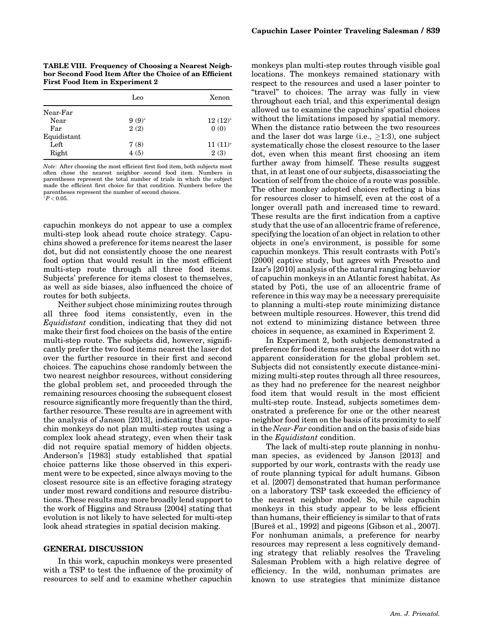TABLE VIII. Frequency of Choosing a Nearest Neighbor Second Food Item After the Choice of an Efficient First Food Item in Experiment 2

|             | Leo      | Xenon      |
|-------------|----------|------------|
| Near-Far    |          |            |
| Near        | $9(9)^*$ | $12(12)^*$ |
| Far         | 2(2)     | 0(0)       |
| Equidistant |          |            |
| Left        | 7(8)     | $11(11)^*$ |
| Right       | 4(5)     | 2(3)       |

Note: After choosing the most efficient first food item, both subjects most often chose the nearest neighbor second food item. Numbers in parentheses represent the total number of trials in which the subject made the efficient first choice for that condition. Numbers before the parentheses represent the number of second choices.  $*P < 0.05$ .

capuchin monkeys do not appear to use a complex multi‐step look ahead route choice strategy. Capuchins showed a preference for items nearest the laser dot, but did not consistently choose the one nearest food option that would result in the most efficient multi‐step route through all three food items. Subjects' preference for items closest to themselves, as well as side biases, also influenced the choice of routes for both subjects.

Neither subject chose minimizing routes through all three food items consistently, even in the Equidistant condition, indicating that they did not make their first food choices on the basis of the entire multi‐step route. The subjects did, however, significantly prefer the two food items nearest the laser dot over the further resource in their first and second choices. The capuchins chose randomly between the two nearest neighbor resources, without considering the global problem set, and proceeded through the remaining resources choosing the subsequent closest resource significantly more frequently than the third, farther resource. These results are in agreement with the analysis of Janson [2013], indicating that capuchin monkeys do not plan multi‐step routes using a complex look ahead strategy, even when their task did not require spatial memory of hidden objects. Anderson's [1983] study established that spatial choice patterns like those observed in this experiment were to be expected, since always moving to the closest resource site is an effective foraging strategy under most reward conditions and resource distributions. These results may more broadly lend support to the work of Higgins and Strauss [2004] stating that evolution is not likely to have selected for multi‐step look ahead strategies in spatial decision making.

#### GENERAL DISCUSSION

In this work, capuchin monkeys were presented with a TSP to test the influence of the proximity of resources to self and to examine whether capuchin

monkeys plan multi‐step routes through visible goal locations. The monkeys remained stationary with respect to the resources and used a laser pointer to "travel" to choices. The array was fully in view throughout each trial, and this experimental design allowed us to examine the capuchins' spatial choices without the limitations imposed by spatial memory. When the distance ratio between the two resources and the laser dot was large (i.e.,  $>1:3$ ), one subject systematically chose the closest resource to the laser dot, even when this meant first choosing an item further away from himself. These results suggest that, in at least one of our subjects, disassociating the location of self from the choice of a route was possible. The other monkey adopted choices reflecting a bias for resources closer to himself, even at the cost of a longer overall path and increased time to reward. These results are the first indication from a captive study that the use of an allocentric frame of reference, specifying the location of an object in relation to other objects in one's environment, is possible for some capuchin monkeys. This result contrasts with Potì's [2000] captive study, but agrees with Presotto and Izar's [2010] analysis of the natural ranging behavior of capuchin monkeys in an Atlantic forest habitat. As stated by Potì, the use of an allocentric frame of reference in this way may be a necessary prerequisite to planning a multi‐step route minimizing distance between multiple resources. However, this trend did not extend to minimizing distance between three choices in sequence, as examined in Experiment 2.

In Experiment 2, both subjects demonstrated a preference for food items nearest the laser dot with no apparent consideration for the global problem set. Subjects did not consistently execute distance‐minimizing multi‐step routes through all three resources, as they had no preference for the nearest neighbor food item that would result in the most efficient multi‐step route. Instead, subjects sometimes demonstrated a preference for one or the other nearest neighbor food item on the basis of its proximity to self in the Near‐Far condition and on the basis of side bias in the Equidistant condition.

The lack of multi-step route planning in nonhuman species, as evidenced by Janson [2013] and supported by our work, contrasts with the ready use of route planning typical for adult humans. Gibson et al. [2007] demonstrated that human performance on a laboratory TSP task exceeded the efficiency of the nearest neighbor model. So, while capuchin monkeys in this study appear to be less efficient than humans, their efficiency is similar to that of rats [Bureš et al., 1992] and pigeons [Gibson et al., 2007]. For nonhuman animals, a preference for nearby resources may represent a less cognitively demanding strategy that reliably resolves the Traveling Salesman Problem with a high relative degree of efficiency. In the wild, nonhuman primates are known to use strategies that minimize distance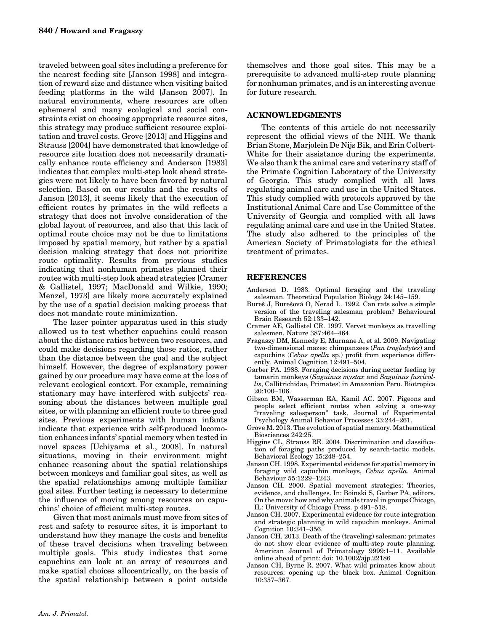traveled between goal sites including a preference for the nearest feeding site [Janson 1998] and integration of reward size and distance when visiting baited feeding platforms in the wild [Janson 2007]. In natural environments, where resources are often ephemeral and many ecological and social constraints exist on choosing appropriate resource sites, this strategy may produce sufficient resource exploitation and travel costs. Grove [2013] and Higgins and Strauss [2004] have demonstrated that knowledge of resource site location does not necessarily dramatically enhance route efficiency and Anderson [1983] indicates that complex multi‐step look ahead strategies were not likely to have been favored by natural selection. Based on our results and the results of Janson [2013], it seems likely that the execution of efficient routes by primates in the wild reflects a strategy that does not involve consideration of the global layout of resources, and also that this lack of optimal route choice may not be due to limitations imposed by spatial memory, but rather by a spatial decision making strategy that does not prioritize route optimality. Results from previous studies indicating that nonhuman primates planned their routes with multi‐step look ahead strategies [Cramer & Gallistel, 1997; MacDonald and Wilkie, 1990; Menzel, 1973] are likely more accurately explained by the use of a spatial decision making process that does not mandate route minimization.

The laser pointer apparatus used in this study allowed us to test whether capuchins could reason about the distance ratios between two resources, and could make decisions regarding those ratios, rather than the distance between the goal and the subject himself. However, the degree of explanatory power gained by our procedure may have come at the loss of relevant ecological context. For example, remaining stationary may have interfered with subjects' reasoning about the distances between multiple goal sites, or with planning an efficient route to three goal sites. Previous experiments with human infants indicate that experience with self‐produced locomotion enhances infants' spatial memory when tested in novel spaces [Uchiyama et al., 2008]. In natural situations, moving in their environment might enhance reasoning about the spatial relationships between monkeys and familiar goal sites, as well as the spatial relationships among multiple familiar goal sites. Further testing is necessary to determine the influence of moving among resources on capuchins' choice of efficient multi‐step routes.

Given that most animals must move from sites of rest and safety to resource sites, it is important to understand how they manage the costs and benefits of these travel decisions when traveling between multiple goals. This study indicates that some capuchins can look at an array of resources and make spatial choices allocentrically, on the basis of the spatial relationship between a point outside

themselves and those goal sites. This may be a prerequisite to advanced multi‐step route planning for nonhuman primates, and is an interesting avenue for future research.

# ACKNOWLEDGMENTS

The contents of this article do not necessarily represent the official views of the NIH. We thank Brian Stone, Marjolein De Nijs Bik, and Erin Colbert‐ White for their assistance during the experiments. We also thank the animal care and veterinary staff of the Primate Cognition Laboratory of the University of Georgia. This study complied with all laws regulating animal care and use in the United States. This study complied with protocols approved by the Institutional Animal Care and Use Committee of the University of Georgia and complied with all laws regulating animal care and use in the United States. The study also adhered to the principles of the American Society of Primatologists for the ethical treatment of primates.

# REFERENCES

- Anderson D. 1983. Optimal foraging and the traveling salesman. Theoretical Population Biology 24:145–159.
- Bureš J, Burešová O, Nerad L. 1992. Can rats solve a simple version of the traveling salesman problem? Behavioural Brain Research 52:133–142.
- Cramer AE, Gallistel CR. 1997. Vervet monkeys as travelling salesmen. Nature 387:464–464.
- Fragaszy DM, Kennedy E, Murnane A, et al. 2009. Navigating two-dimensional mazes: chimpanzees (Pan troglodytes) and capuchins (Cebus apella sp.) profit from experience differently. Animal Cognition 12:491-504.
- Garber PA. 1988. Foraging decisions during nectar feeding by tamarin monkeys (Saguinus mystax and Saguinus fuscicollis, Callitrichidae, Primates) in Amazonian Peru. Biotropica 20:100–106.
- Gibson BM, Wasserman EA, Kamil AC. 2007. Pigeons and people select efficient routes when solving a one‐way "traveling salesperson" task. Journal of Experimental Psychology Animal Behavior Processes 33:244–261.
- Grove M. 2013. The evolution of spatial memory. Mathematical Biosciences 242:25.
- Higgins CL, Strauss RE. 2004. Discrimination and classification of foraging paths produced by search‐tactic models. Behavioral Ecology 15:248–254.
- Janson CH. 1998. Experimental evidence for spatial memory in foraging wild capuchin monkeys, Cebus apella. Animal Behaviour 55:1229–1243.
- Janson CH. 2000. Spatial movement strategies: Theories, evidence, and challenges. In: Boinski S, Garber PA, editors. On the move: how and why animals travel in groups Chicago, IL: University of Chicago Press. p 491–518.
- Janson CH. 2007. Experimental evidence for route integration and strategic planning in wild capuchin monkeys. Animal Cognition 10:341–356.
- Janson CH. 2013. Death of the (traveling) salesman: primates do not show clear evidence of multi‐step route planning. American Journal of Primatology 9999:1–11. Available online ahead of print: doi: 10.1002/ajp.22186
- Janson CH, Byrne R. 2007. What wild primates know about resources: opening up the black box. Animal Cognition 10:357–367.